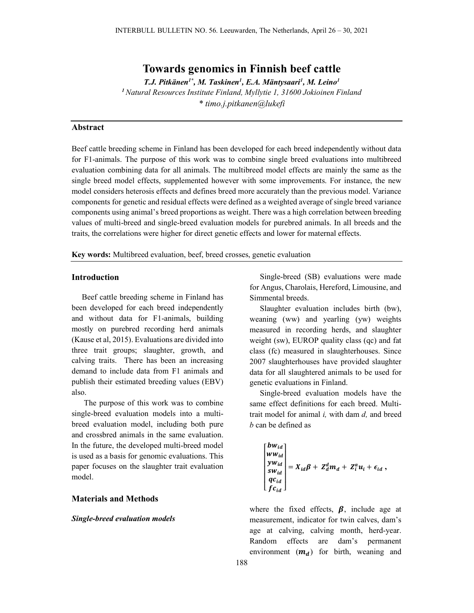# Towards genomics in Finnish beef cattle

T.J. Pitkänen<sup>1\*</sup>, M. Taskinen<sup>1</sup>, E.A. Mäntysaari<sup>1</sup>, M. Leino<sup>1</sup>

<sup>1</sup> Natural Resources Institute Finland, Myllytie 1, 31600 Jokioinen Finland \* timo.j.pitkanen@lukefi

# Abstract

Beef cattle breeding scheme in Finland has been developed for each breed independently without data for F1-animals. The purpose of this work was to combine single breed evaluations into multibreed evaluation combining data for all animals. The multibreed model effects are mainly the same as the single breed model effects, supplemented however with some improvements. For instance, the new model considers heterosis effects and defines breed more accurately than the previous model. Variance components for genetic and residual effects were defined as a weighted average of single breed variance components using animal's breed proportions as weight. There was a high correlation between breeding values of multi-breed and single-breed evaluation models for purebred animals. In all breeds and the traits, the correlations were higher for direct genetic effects and lower for maternal effects.

Key words: Multibreed evaluation, beef, breed crosses, genetic evaluation

### Introduction

Beef cattle breeding scheme in Finland has been developed for each breed independently and without data for F1-animals, building mostly on purebred recording herd animals (Kause et al, 2015). Evaluations are divided into three trait groups; slaughter, growth, and calving traits. There has been an increasing demand to include data from F1 animals and publish their estimated breeding values (EBV) also.

 The purpose of this work was to combine single-breed evaluation models into a multibreed evaluation model, including both pure and crossbred animals in the same evaluation. In the future, the developed multi-breed model is used as a basis for genomic evaluations. This paper focuses on the slaughter trait evaluation model.

## Materials and Methods

#### Single-breed evaluation models

Single-breed (SB) evaluations were made for Angus, Charolais, Hereford, Limousine, and Simmental breeds.

Slaughter evaluation includes birth (bw), weaning (ww) and yearling (yw) weights measured in recording herds, and slaughter weight (sw), EUROP quality class (qc) and fat class (fc) measured in slaughterhouses. Since 2007 slaughterhouses have provided slaughter data for all slaughtered animals to be used for genetic evaluations in Finland.

Single-breed evaluation models have the same effect definitions for each breed. Multitrait model for animal  $i$ , with dam  $d$ , and breed b can be defined as

$$
\begin{bmatrix} bw_{id} \\ ww_{id} \\ yw_{id} \\ sw_{id} \\ qc_{id} \\ f c_{id} \end{bmatrix} = X_{id}\beta + Z_d^dm_d + Z_i^au_i + \epsilon_{id} ,
$$

where the fixed effects,  $\beta$ , include age at measurement, indicator for twin calves, dam's age at calving, calving month, herd-year. Random effects are dam's permanent environment  $(m_d)$  for birth, weaning and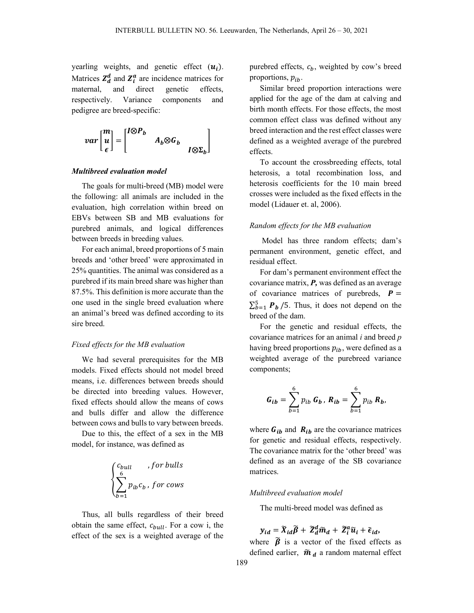yearling weights, and genetic effect  $(u_i)$ . Matrices  $Z_d^d$  and  $Z_i^a$  are incidence matrices for maternal, and direct genetic effects, respectively. Variance components and pedigree are breed-specific:

$$
var\begin{bmatrix} m \\ u \\ \epsilon \end{bmatrix} = \begin{bmatrix} I \otimes P_b & \\ & A_b \otimes G_b & \\ & I \otimes \Sigma_b \end{bmatrix}
$$

#### Multibreed evaluation model

The goals for multi-breed (MB) model were the following: all animals are included in the evaluation, high correlation within breed on EBVs between SB and MB evaluations for purebred animals, and logical differences between breeds in breeding values.

For each animal, breed proportions of 5 main breeds and 'other breed' were approximated in 25% quantities. The animal was considered as a purebred if its main breed share was higher than 87.5%. This definition is more accurate than the one used in the single breed evaluation where an animal's breed was defined according to its sire breed.

## Fixed effects for the MB evaluation

We had several prerequisites for the MB models. Fixed effects should not model breed means, i.e. differences between breeds should be directed into breeding values. However, fixed effects should allow the means of cows and bulls differ and allow the difference between cows and bulls to vary between breeds.

Due to this, the effect of a sex in the MB model, for instance, was defined as

$$
\begin{cases} c_{bull} & , for \: bulbs \\ \sum_{b=1}^{6} p_{ib}c_b & , for \: cows \end{cases}
$$

Thus, all bulls regardless of their breed obtain the same effect,  $c_{bull}$ . For a cow i, the effect of the sex is a weighted average of the purebred effects,  $c<sub>b</sub>$ , weighted by cow's breed proportions,  $p_{ih}$ .

Similar breed proportion interactions were applied for the age of the dam at calving and birth month effects. For those effects, the most common effect class was defined without any breed interaction and the rest effect classes were defined as a weighted average of the purebred effects.

To account the crossbreeding effects, total heterosis, a total recombination loss, and heterosis coefficients for the 10 main breed crosses were included as the fixed effects in the model (Lidauer et. al, 2006).

## Random effects for the MB evaluation

 Model has three random effects; dam's permanent environment, genetic effect, and residual effect.

For dam's permanent environment effect the covariance matrix,  $P$ , was defined as an average of covariance matrices of purebreds,  $P =$  $\sum_{b=1}^{5} P_b$  /5. Thus, it does not depend on the breed of the dam.

For the genetic and residual effects, the covariance matrices for an animal  $i$  and breed  $p$ having breed proportions  $p_{ib}$ , were defined as a weighted average of the purebreed variance components;

$$
G_{ib} = \sum_{b=1}^{6} p_{ib} G_b, R_{ib} = \sum_{b=1}^{6} p_{ib} R_b,
$$

where  $G_{ib}$  and  $R_{ib}$  are the covariance matrices for genetic and residual effects, respectively. The covariance matrix for the 'other breed' was defined as an average of the SB covariance matrices.

### Multibreed evaluation model

The multi-breed model was defined as

$$
y_{id} = \widetilde{X}_{id}\widetilde{\beta} + \widetilde{Z}_{d}^{d}\widetilde{m}_{d} + \widetilde{Z}_{i}^{a}\widetilde{u}_{i} + \widetilde{\epsilon}_{id},
$$

where  $\tilde{\beta}$  is a vector of the fixed effects as defined earlier,  $\tilde{m}_d$  a random maternal effect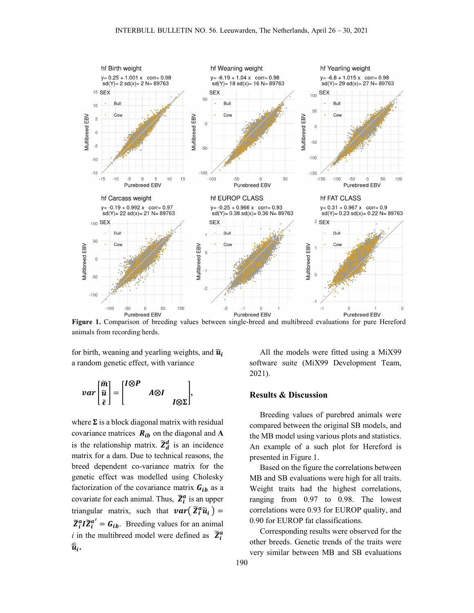

Figure 1. Comparison of breeding values between single-breed and multibreed evaluations for pure Hereford animals from recording herds.

for birth, weaning and yearling weights, and  $\widetilde{u}_i$ a random genetic effect, with variance

$$
var\begin{bmatrix} \widetilde{m} \\ \widetilde{u} \\ \widetilde{\epsilon} \end{bmatrix} = \begin{bmatrix} I \otimes P \\ & A \otimes I \\ & I \otimes \Sigma \end{bmatrix},
$$

where  $\Sigma$  is a block diagonal matrix with residual covariance matrices  $R_{ib}$  on the diagonal and A is the relationship matrix.  $\tilde{Z}_d^d$  is an incidence matrix for a dam. Due to technical reasons, the breed dependent co-variance matrix for the genetic effect was modelled using Cholesky factorization of the covariance matrix  $G_{ib}$  as a covariate for each animal. Thus,  $\tilde{Z}_i^a$  is an upper triangular matrix, such that  $var(\tilde{Z}_i^a \tilde{u}_i) =$  $\widetilde{Z}_i^a I \widetilde{Z}_i^{a'} = G_{ib}$ . Breeding values for an animal *i* in the multibreed model were defined as  $\tilde{Z}_i^a$  $\widehat{\widetilde{u}}_i.$ 

All the models were fitted using a MiX99 software suite (MiX99 Development Team, 2021).

# Results & Discussion

Breeding values of purebred animals were compared between the original SB models, and the MB model using various plots and statistics. An example of a such plot for Hereford is presented in Figure 1.

Based on the figure the correlations between MB and SB evaluations were high for all traits. Weight traits had the highest correlations, ranging from 0.97 to 0.98. The lowest correlations were 0.93 for EUROP quality, and 0.90 for EUROP fat classifications.

Corresponding results were observed for the other breeds. Genetic trends of the traits were very similar between MB and SB evaluations